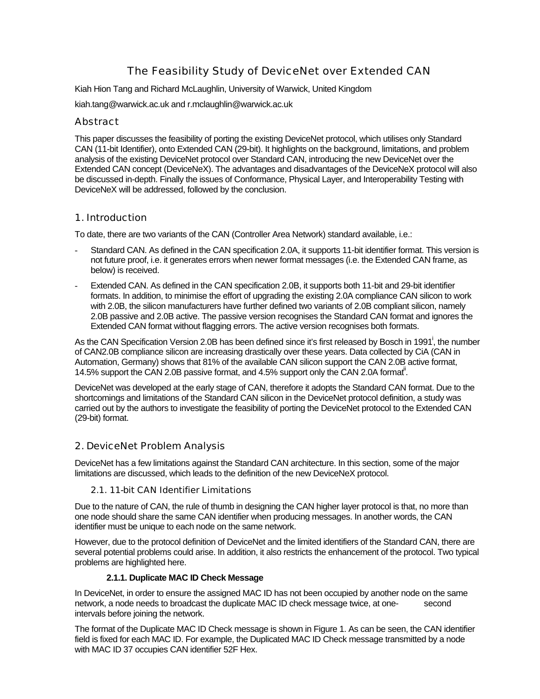# The Feasibility Study of DeviceNet over Extended CAN

Kiah Hion Tang and Richard McLaughlin, University of Warwick, United Kingdom

kiah.tang@warwick.ac.uk and r.mclaughlin@warwick.ac.uk

## Abstract

This paper discusses the feasibility of porting the existing DeviceNet protocol, which utilises only Standard CAN (11-bit Identifier), onto Extended CAN (29-bit). It highlights on the background, limitations, and problem analysis of the existing DeviceNet protocol over Standard CAN, introducing the new DeviceNet over the Extended CAN concept (DeviceNeX). The advantages and disadvantages of the DeviceNeX protocol will also be discussed in-depth. Finally the issues of Conformance, Physical Layer, and Interoperability Testing with DeviceNeX will be addressed, followed by the conclusion.

## 1. Introduction

To date, there are two variants of the CAN (Controller Area Network) standard available, i.e.:

- Standard CAN. As defined in the CAN specification 2.0A, it supports 11-bit identifier format. This version is not future proof, i.e. it generates errors when newer format messages (i.e. the Extended CAN frame, as below) is received.
- Extended CAN. As defined in the CAN specification 2.0B, it supports both 11-bit and 29-bit identifier formats. In addition, to minimise the effort of upgrading the existing 2.0A compliance CAN silicon to work with 2.0B, the silicon manufacturers have further defined two variants of 2.0B compliant silicon, namely 2.0B passive and 2.0B active. The passive version recognises the Standard CAN format and ignores the Extended CAN format without flagging errors. The active version recognises both formats.

As the CAN Specification Version 2.0B has been defined since it's first released by Bosch in 1991<sup>i</sup>, the number of CAN2.0B compliance silicon are increasing drastically over these years. Data collected by CiA (CAN in Automation, Germany) shows that 81% of the available CAN silicon support the CAN 2.0B active format, 14.5% support the CAN 2.0B passive format, and 4.5% support only the CAN 2.0A format<sup>ii</sup>.

DeviceNet was developed at the early stage of CAN, therefore it adopts the Standard CAN format. Due to the shortcomings and limitations of the Standard CAN silicon in the DeviceNet protocol definition, a study was carried out by the authors to investigate the feasibility of porting the DeviceNet protocol to the Extended CAN (29-bit) format.

## 2. DeviceNet Problem Analysis

DeviceNet has a few limitations against the Standard CAN architecture. In this section, some of the major limitations are discussed, which leads to the definition of the new DeviceNeX protocol.

## 2.1. 11-bit CAN Identifier Limitations

Due to the nature of CAN, the rule of thumb in designing the CAN higher layer protocol is that, no more than one node should share the same CAN identifier when producing messages. In another words, the CAN identifier must be unique to each node on the same network.

However, due to the protocol definition of DeviceNet and the limited identifiers of the Standard CAN, there are several potential problems could arise. In addition, it also restricts the enhancement of the protocol. Two typical problems are highlighted here.

## **2.1.1. Duplicate MAC ID Check Message**

In DeviceNet, in order to ensure the assigned MAC ID has not been occupied by another node on the same network, a node needs to broadcast the duplicate MAC ID check message twice, at one- second intervals before joining the network.

The format of the Duplicate MAC ID Check message is shown in Figure 1. As can be seen, the CAN identifier field is fixed for each MAC ID. For example, the Duplicated MAC ID Check message transmitted by a node with MAC ID 37 occupies CAN identifier 52F Hex.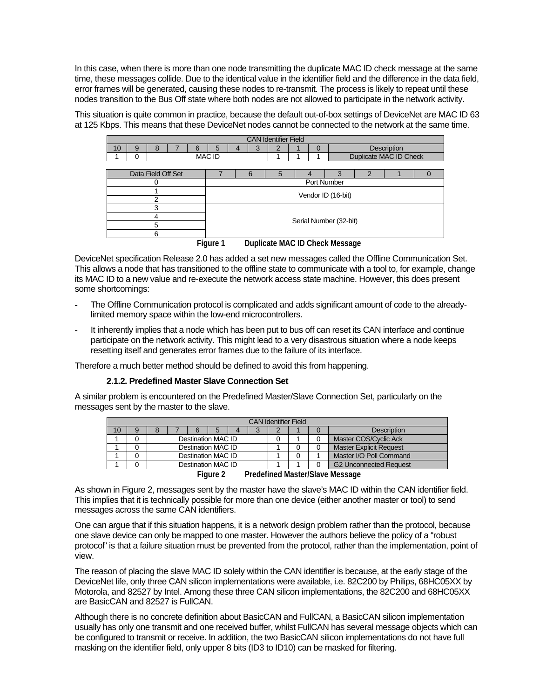In this case, when there is more than one node transmitting the duplicate MAC ID check message at the same time, these messages collide. Due to the identical value in the identifier field and the difference in the data field, error frames will be generated, causing these nodes to re-transmit. The process is likely to repeat until these nodes transition to the Bus Off state where both nodes are not allowed to participate in the network activity.

This situation is quite common in practice, because the default out-of-box settings of DeviceNet are MAC ID 63 at 125 Kbps. This means that these DeviceNet nodes cannot be connected to the network at the same time.

|                             |   |                    |  |   |               |  |   | <b>CAN Identifier Field</b> |  |   |                                |                        |                    |  |
|-----------------------------|---|--------------------|--|---|---------------|--|---|-----------------------------|--|---|--------------------------------|------------------------|--------------------|--|
| 10                          | 9 | 8                  |  | 6 | 5             |  | З |                             |  | 0 |                                |                        | <b>Description</b> |  |
|                             | 0 |                    |  |   | <b>MAC ID</b> |  |   |                             |  |   |                                | Duplicate MAC ID Check |                    |  |
|                             |   |                    |  |   |               |  |   |                             |  |   |                                |                        |                    |  |
|                             |   | Data Field Off Set |  |   |               |  | 6 | 5                           |  |   | 3                              | 2                      |                    |  |
| Port Number<br>0            |   |                    |  |   |               |  |   |                             |  |   |                                |                        |                    |  |
| Vendor ID (16-bit)          |   |                    |  |   |               |  |   |                             |  |   |                                |                        |                    |  |
|                             |   | っ                  |  |   |               |  |   |                             |  |   |                                |                        |                    |  |
|                             |   | 3                  |  |   |               |  |   |                             |  |   |                                |                        |                    |  |
|                             |   | 4                  |  |   |               |  |   |                             |  |   |                                |                        |                    |  |
| Serial Number (32-bit)<br>5 |   |                    |  |   |               |  |   |                             |  |   |                                |                        |                    |  |
|                             | 6 |                    |  |   |               |  |   |                             |  |   |                                |                        |                    |  |
|                             |   |                    |  |   | Figure 1      |  |   |                             |  |   | Duplicate MAC ID Check Message |                        |                    |  |

DeviceNet specification Release 2.0 has added a set new messages called the Offline Communication Set. This allows a node that has transitioned to the offline state to communicate with a tool to, for example, change its MAC ID to a new value and re-execute the network access state machine. However, this does present some shortcomings:

- The Offline Communication protocol is complicated and adds significant amount of code to the alreadylimited memory space within the low-end microcontrollers.
- It inherently implies that a node which has been put to bus off can reset its CAN interface and continue participate on the network activity. This might lead to a very disastrous situation where a node keeps resetting itself and generates error frames due to the failure of its interface.

Therefore a much better method should be defined to avoid this from happening.

#### **2.1.2. Predefined Master Slave Connection Set**

A similar problem is encountered on the Predefined Master/Slave Connection Set, particularly on the messages sent by the master to the slave.

|                                                      |   |  |  |   |                    |                        |  | <b>CAN Identifier Field</b> |  |  |                                 |  |  |
|------------------------------------------------------|---|--|--|---|--------------------|------------------------|--|-----------------------------|--|--|---------------------------------|--|--|
| 10 <sup>°</sup>                                      | 9 |  |  | 6 | 5                  | $\boldsymbol{\Lambda}$ |  |                             |  |  | <b>Description</b>              |  |  |
| Destination MAC ID<br>Master COS/Cyclic Ack          |   |  |  |   |                    |                        |  |                             |  |  |                                 |  |  |
| Destination MAC ID<br><b>Master Explicit Request</b> |   |  |  |   |                    |                        |  |                             |  |  |                                 |  |  |
|                                                      |   |  |  |   | Destination MAC ID |                        |  |                             |  |  | Master I/O Poll Command         |  |  |
|                                                      |   |  |  |   | Destination MAC ID |                        |  |                             |  |  | <b>G2 Unconnected Request</b>   |  |  |
|                                                      |   |  |  |   | $F: \ldots \wedge$ |                        |  |                             |  |  | Dradefined Meeter Claus Meesses |  |  |

**Figure 2 Predefined Master/Slave Message**

As shown in Figure 2, messages sent by the master have the slave's MAC ID within the CAN identifier field. This implies that it is technically possible for more than one device (either another master or tool) to send messages across the same CAN identifiers.

One can argue that if this situation happens, it is a network design problem rather than the protocol, because one slave device can only be mapped to one master. However the authors believe the policy of a "robust protocol" is that a failure situation must be prevented from the protocol, rather than the implementation, point of view.

The reason of placing the slave MAC ID solely within the CAN identifier is because, at the early stage of the DeviceNet life, only three CAN silicon implementations were available, i.e. 82C200 by Philips, 68HC05XX by Motorola, and 82527 by Intel. Among these three CAN silicon implementations, the 82C200 and 68HC05XX are BasicCAN and 82527 is FullCAN.

Although there is no concrete definition about BasicCAN and FullCAN, a BasicCAN silicon implementation usually has only one transmit and one received buffer, whilst FullCAN has several message objects which can be configured to transmit or receive. In addition, the two BasicCAN silicon implementations do not have full masking on the identifier field, only upper 8 bits (ID3 to ID10) can be masked for filtering.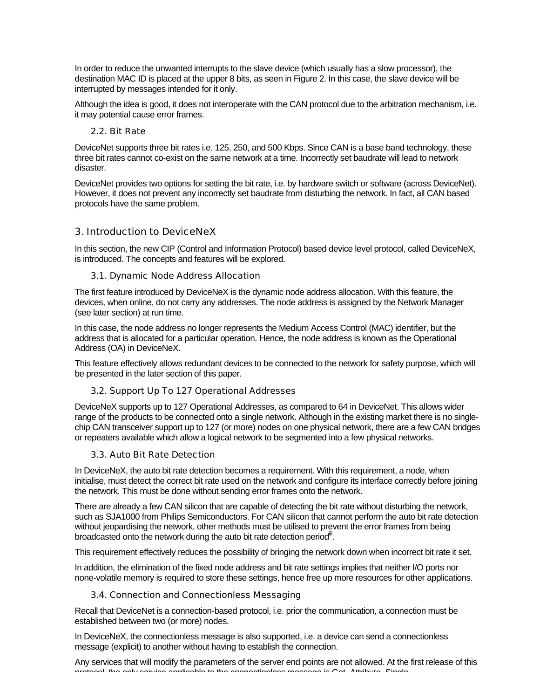In order to reduce the unwanted interrupts to the slave device (which usually has a slow processor), the destination MAC ID is placed at the upper 8 bits, as seen in Figure 2. In this case, the slave device will be interrupted by messages intended for it only.

Although the idea is good, it does not interoperate with the CAN protocol due to the arbitration mechanism, i.e. it may potential cause error frames.

## 2.2. Bit Rate

DeviceNet supports three bit rates i.e. 125, 250, and 500 Kbps. Since CAN is a base band technology, these three bit rates cannot co-exist on the same network at a time. Incorrectly set baudrate will lead to network disaster.

DeviceNet provides two options for setting the bit rate, i.e. by hardware switch or software (across DeviceNet). However, it does not prevent any incorrectly set baudrate from disturbing the network. In fact, all CAN based protocols have the same problem.

## 3. Introduction to DeviceNeX

In this section, the new CIP (Control and Information Protocol) based device level protocol, called DeviceNeX, is introduced. The concepts and features will be explored.

### 3.1. Dynamic Node Address Allocation

The first feature introduced by DeviceNeX is the dynamic node address allocation. With this feature, the devices, when online, do not carry any addresses. The node address is assigned by the Network Manager (see later section) at run time.

In this case, the node address no longer represents the Medium Access Control (MAC) identifier, but the address that is allocated for a particular operation. Hence, the node address is known as the Operational Address (OA) in DeviceNeX.

This feature effectively allows redundant devices to be connected to the network for safety purpose, which will be presented in the later section of this paper.

## 3.2. Support Up To 127 Operational Addresses

DeviceNeX supports up to 127 Operational Addresses, as compared to 64 in DeviceNet. This allows wider range of the products to be connected onto a single network. Although in the existing market there is no singlechip CAN transceiver support up to 127 (or more) nodes on one physical network, there are a few CAN bridges or repeaters available which allow a logical network to be segmented into a few physical networks.

#### 3.3. Auto Bit Rate Detection

In DeviceNeX, the auto bit rate detection becomes a requirement. With this requirement, a node, when initialise, must detect the correct bit rate used on the network and configure its interface correctly before joining the network. This must be done without sending error frames onto the network.

There are already a few CAN silicon that are capable of detecting the bit rate without disturbing the network, such as SJA1000 from Philips Semiconductors. For CAN silicon that cannot perform the auto bit rate detection without jeopardising the network, other methods must be utilised to prevent the error frames from being broadcasted onto the network during the auto bit rate detection period".

This requirement effectively reduces the possibility of bringing the network down when incorrect bit rate it set.

In addition, the elimination of the fixed node address and bit rate settings implies that neither I/O ports nor none-volatile memory is required to store these settings, hence free up more resources for other applications.

## 3.4. Connection and Connectionless Messaging

Recall that DeviceNet is a connection-based protocol, i.e. prior the communication, a connection must be established between two (or more) nodes.

In DeviceNeX, the connectionless message is also supported, i.e. a device can send a connectionless message (explicit) to another without having to establish the connection.

Any services that will modify the parameters of the server end points are not allowed. At the first release of this protocol, the only service applicable to the connectionless message is Get\_Attribute\_Single.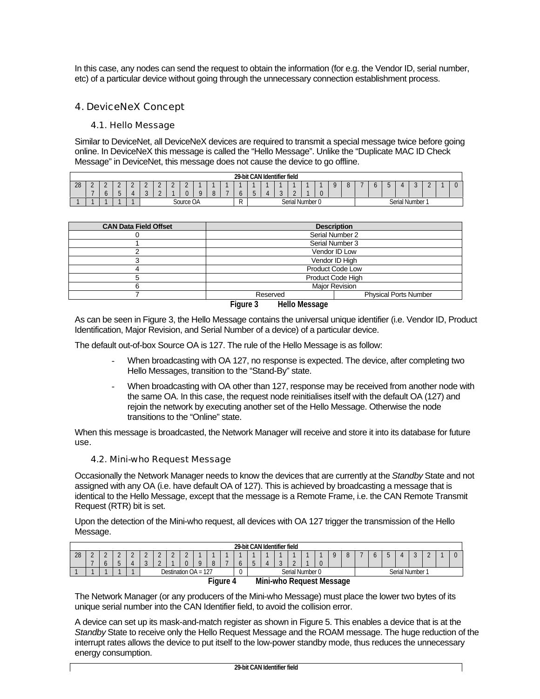In this case, any nodes can send the request to obtain the information (for e.g. the Vendor ID, serial number, etc) of a particular device without going through the unnecessary connection establishment process.

## 4. DeviceNeX Concept

#### 4.1. Hello Message

Similar to DeviceNet, all DeviceNeX devices are required to transmit a special message twice before going online. In DeviceNeX this message is called the "Hello Message". Unlike the "Duplicate MAC ID Check Message" in DeviceNet, this message does not cause the device to go offline.

|    |               |   |                 |        |                    |                                              |                    |                        |  |     | 29-bit CAN Identifier field |        |  |                 |  |  |  |                      |              |        |  |
|----|---------------|---|-----------------|--------|--------------------|----------------------------------------------|--------------------|------------------------|--|-----|-----------------------------|--------|--|-----------------|--|--|--|----------------------|--------------|--------|--|
| 28 | -<br><u>.</u> | - | $\epsilon$<br>- | $\sim$ | $\sim$<br><u>.</u> | $\sim$<br><u>.</u><br>$\sim$                 | $\sim$<br><u>.</u> | $\sqrt{2}$<br><u>.</u> |  |     |                             |        |  | $\sim$          |  |  |  | $\ddot{\phantom{a}}$ | $\mathbf{z}$ | $\sim$ |  |
|    |               |   |                 |        |                    |                                              |                    |                        |  |     |                             |        |  |                 |  |  |  |                      |              |        |  |
|    |               |   |                 |        |                    | $C_{\Omega U}$<br>$\bigcap$<br>UC UM<br>J∪u⊫ |                    |                        |  | . . |                             | $\sim$ |  | Serial Number 0 |  |  |  | Serial Number        |              |        |  |

| <b>CAN Data Field Offset</b> |                                  | <b>Description</b>           |
|------------------------------|----------------------------------|------------------------------|
|                              |                                  | Serial Number 2              |
|                              |                                  | Serial Number 3              |
|                              |                                  | Vendor ID Low                |
|                              |                                  | Vendor ID High               |
|                              |                                  | <b>Product Code Low</b>      |
|                              |                                  | Product Code High            |
|                              |                                  | <b>Major Revision</b>        |
|                              | Reserved                         | <b>Physical Ports Number</b> |
|                              | Figure 3<br><b>Hello Message</b> |                              |

As can be seen in Figure 3, the Hello Message contains the universal unique identifier (i.e. Vendor ID, Product Identification, Major Revision, and Serial Number of a device) of a particular device.

The default out-of-box Source OA is 127. The rule of the Hello Message is as follow:

- When broadcasting with OA 127, no response is expected. The device, after completing two Hello Messages, transition to the "Stand-By" state.
- When broadcasting with OA other than 127, response may be received from another node with the same OA. In this case, the request node reinitialises itself with the default OA (127) and rejoin the network by executing another set of the Hello Message. Otherwise the node transitions to the "Online" state.

When this message is broadcasted, the Network Manager will receive and store it into its database for future use.

#### 4.2. Mini-who Request Message

Occasionally the Network Manager needs to know the devices that are currently at the *Standby* State and not assigned with any OA (i.e. have default OA of 127). This is achieved by broadcasting a message that is identical to the Hello Message, except that the message is a Remote Frame, i.e. the CAN Remote Transmit Request (RTR) bit is set.

Upon the detection of the Mini-who request, all devices with OA 127 trigger the transmission of the Hello Message.

|    |                                            |         |  |  |        |  |                      |  |  |     |  |   |  |  | 29-bit CAN Identifier field |                 |         |   |   |               |  |  |
|----|--------------------------------------------|---------|--|--|--------|--|----------------------|--|--|-----|--|---|--|--|-----------------------------|-----------------|---------|---|---|---------------|--|--|
| 28 | -                                          | $\circ$ |  |  | $\sim$ |  | $\sim$<br>-          |  |  |     |  |   |  |  |                             | $\sim$          | $\cdot$ | v | U |               |  |  |
|    |                                            |         |  |  |        |  | Destination $OA = 1$ |  |  | 127 |  | ν |  |  |                             | Serial Number 0 |         |   |   | Serial Number |  |  |
|    | --<br>Mini-who Request Message<br>Fi∩ure 4 |         |  |  |        |  |                      |  |  |     |  |   |  |  |                             |                 |         |   |   |               |  |  |

**Figure 4 Mini-who Request Message**

The Network Manager (or any producers of the Mini-who Message) must place the lower two bytes of its unique serial number into the CAN Identifier field, to avoid the collision error.

A device can set up its mask-and-match register as shown in Figure 5. This enables a device that is at the *Standby* State to receive only the Hello Request Message and the ROAM message. The huge reduction of the interrupt rates allows the device to put itself to the low-power standby mode, thus reduces the unnecessary energy consumption.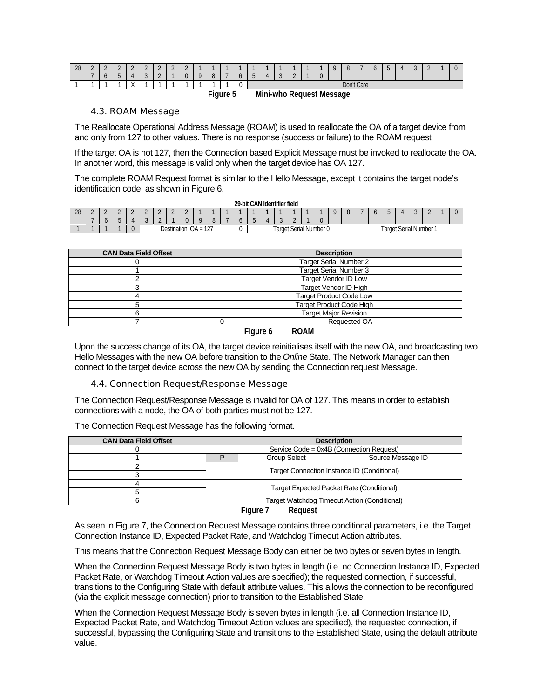| 28 | $\sim$<br>-<br>$\overline{\phantom{a}}$ | $\sim$<br><u>.</u><br>$\cdot$ | <u>.</u><br>-<br>∽<br>$\sim$ | $\sim$<br>-<br>≖ | $\sim$<br><u>.</u><br>$\sim$<br>$\overline{ }$ | $\sim$<br><u>.</u><br>$\sim$ | $\sim$<br><u>.</u> | $\sim$<br><u>.</u><br>$\Omega$ | u | <b>A</b> | $\cdot$ | -<br>∽ | $\sim$<br>ັ | $\sim$<br><u>.</u> | $\mathbf{U}$ | $\sim$<br>$\cdot$ | $\sim$ |            | . . | -<br>∽<br>$\overline{ }$ | ൧ | $\sim$<br>$\overline{ }$ | $\sim$ |  |
|----|-----------------------------------------|-------------------------------|------------------------------|------------------|------------------------------------------------|------------------------------|--------------------|--------------------------------|---|----------|---------|--------|-------------|--------------------|--------------|-------------------|--------|------------|-----|--------------------------|---|--------------------------|--------|--|
|    |                                         |                               |                              | $\cdots$         |                                                |                              |                    |                                |   |          | ◡       |        |             |                    |              |                   |        | Don't Care |     |                          |   |                          |        |  |

**Figure 5 Mini-who Request Message**

#### 4.3. ROAM Message

The Reallocate Operational Address Message (ROAM) is used to reallocate the OA of a target device from and only from 127 to other values. There is no response (success or failure) to the ROAM request

If the target OA is not 127, then the Connection based Explicit Message must be invoked to reallocate the OA. In another word, this message is valid only when the target device has OA 127.

The complete ROAM Request format is similar to the Hello Message, except it contains the target node's identification code, as shown in Figure 6.

|            |   |                               |   |            |  |   |        |  |   | 29-bit CAN Identifier field |                        |  |  |  |  |              |                 |  |     |  |
|------------|---|-------------------------------|---|------------|--|---|--------|--|---|-----------------------------|------------------------|--|--|--|--|--------------|-----------------|--|-----|--|
| າວ<br>- ZU | - | -                             | - | <u>.</u>   |  | £ | $\sim$ |  |   |                             |                        |  |  |  |  | $\bf\ddot{}$ |                 |  | . . |  |
|            |   |                               |   | $\sqrt{2}$ |  |   |        |  |   |                             |                        |  |  |  |  |              |                 |  |     |  |
|            |   | 127 -<br>Destination $OA = ?$ |   |            |  |   |        |  | ັ |                             | Target Serial Number 0 |  |  |  |  | arget :      | . Serial Number |  |     |  |

| <b>CAN Data Field Offset</b> |                                | <b>Description</b>              |  |  |  |  |  |  |
|------------------------------|--------------------------------|---------------------------------|--|--|--|--|--|--|
|                              |                                | <b>Target Serial Number 2</b>   |  |  |  |  |  |  |
|                              |                                | <b>Target Serial Number 3</b>   |  |  |  |  |  |  |
|                              |                                | <b>Target Vendor ID Low</b>     |  |  |  |  |  |  |
|                              | <b>Target Vendor ID High</b>   |                                 |  |  |  |  |  |  |
|                              | <b>Target Product Code Low</b> |                                 |  |  |  |  |  |  |
|                              |                                | <b>Target Product Code High</b> |  |  |  |  |  |  |
|                              |                                | <b>Target Major Revision</b>    |  |  |  |  |  |  |
|                              |                                | <b>Requested OA</b>             |  |  |  |  |  |  |
|                              |                                | <b>DO 455</b>                   |  |  |  |  |  |  |

**Figure 6 ROAM**

Upon the success change of its OA, the target device reinitialises itself with the new OA, and broadcasting two Hello Messages with the new OA before transition to the *Online* State. The Network Manager can then connect to the target device across the new OA by sending the Connection request Message.

#### 4.4. Connection Request/Response Message

The Connection Request/Response Message is invalid for OA of 127. This means in order to establish connections with a node, the OA of both parties must not be 127.

| <b>CAN Data Field Offset</b> |                                              |                                           | <b>Description</b> |  |  |  |  |  |  |  |  |
|------------------------------|----------------------------------------------|-------------------------------------------|--------------------|--|--|--|--|--|--|--|--|
|                              |                                              | Service Code = 0x4B (Connection Request)  |                    |  |  |  |  |  |  |  |  |
|                              |                                              | <b>Group Select</b>                       | Source Message ID  |  |  |  |  |  |  |  |  |
|                              | Target Connection Instance ID (Conditional)  |                                           |                    |  |  |  |  |  |  |  |  |
|                              |                                              |                                           |                    |  |  |  |  |  |  |  |  |
|                              |                                              | Target Expected Packet Rate (Conditional) |                    |  |  |  |  |  |  |  |  |
|                              |                                              |                                           |                    |  |  |  |  |  |  |  |  |
|                              | Target Watchdog Timeout Action (Conditional) |                                           |                    |  |  |  |  |  |  |  |  |
|                              |                                              | Figure 7<br>Reauest                       |                    |  |  |  |  |  |  |  |  |

The Connection Request Message has the following format.

As seen in Figure 7, the Connection Request Message contains three conditional parameters, i.e. the Target Connection Instance ID, Expected Packet Rate, and Watchdog Timeout Action attributes.

This means that the Connection Request Message Body can either be two bytes or seven bytes in length.

When the Connection Request Message Body is two bytes in length (i.e. no Connection Instance ID, Expected Packet Rate, or Watchdog Timeout Action values are specified); the requested connection, if successful, transitions to the Configuring State with default attribute values. This allows the connection to be reconfigured (via the explicit message connection) prior to transition to the Established State.

When the Connection Request Message Body is seven bytes in length (i.e. all Connection Instance ID, Expected Packet Rate, and Watchdog Timeout Action values are specified), the requested connection, if successful, bypassing the Configuring State and transitions to the Established State, using the default attribute value.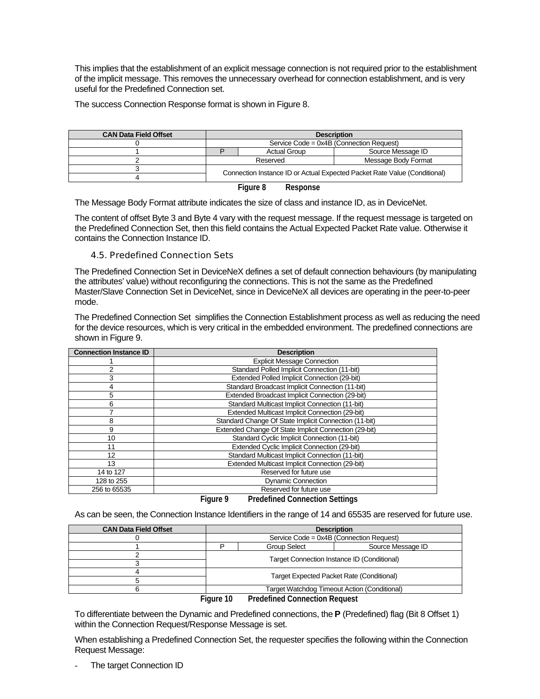This implies that the establishment of an explicit message connection is not required prior to the establishment of the implicit message. This removes the unnecessary overhead for connection establishment, and is very useful for the Predefined Connection set.

The success Connection Response format is shown in Figure 8.

| <b>CAN Data Field Offset</b> |                                                                           |          |                     | <b>Description</b>                       |  |  |  |  |  |  |
|------------------------------|---------------------------------------------------------------------------|----------|---------------------|------------------------------------------|--|--|--|--|--|--|
|                              |                                                                           |          |                     | Service Code = 0x4B (Connection Request) |  |  |  |  |  |  |
|                              |                                                                           |          | <b>Actual Group</b> | Source Message ID                        |  |  |  |  |  |  |
|                              |                                                                           | Reserved |                     | Message Body Format                      |  |  |  |  |  |  |
|                              |                                                                           |          |                     |                                          |  |  |  |  |  |  |
|                              | Connection Instance ID or Actual Expected Packet Rate Value (Conditional) |          |                     |                                          |  |  |  |  |  |  |
|                              |                                                                           | Figure 8 | Response            |                                          |  |  |  |  |  |  |

The Message Body Format attribute indicates the size of class and instance ID, as in DeviceNet.

The content of offset Byte 3 and Byte 4 vary with the request message. If the request message is targeted on the Predefined Connection Set, then this field contains the Actual Expected Packet Rate value. Otherwise it contains the Connection Instance ID.

### 4.5. Predefined Connection Sets

The Predefined Connection Set in DeviceNeX defines a set of default connection behaviours (by manipulating the attributes' value) without reconfiguring the connections. This is not the same as the Predefined Master/Slave Connection Set in DeviceNet, since in DeviceNeX all devices are operating in the peer-to-peer mode.

The Predefined Connection Set simplifies the Connection Establishment process as well as reducing the need for the device resources, which is very critical in the embedded environment. The predefined connections are shown in Figure 9.

| <b>Connection Instance ID</b> | <b>Description</b>                                    |
|-------------------------------|-------------------------------------------------------|
|                               | <b>Explicit Message Connection</b>                    |
| 2                             | Standard Polled Implicit Connection (11-bit)          |
| 3                             | Extended Polled Implicit Connection (29-bit)          |
| 4                             | Standard Broadcast Implicit Connection (11-bit)       |
| 5                             | Extended Broadcast Implicit Connection (29-bit)       |
| 6                             | Standard Multicast Implicit Connection (11-bit)       |
|                               | Extended Multicast Implicit Connection (29-bit)       |
| 8                             | Standard Change Of State Implicit Connection (11-bit) |
| 9                             | Extended Change Of State Implicit Connection (29-bit) |
| 10                            | Standard Cyclic Implicit Connection (11-bit)          |
| 11                            | Extended Cyclic Implicit Connection (29-bit)          |
| 12                            | Standard Multicast Implicit Connection (11-bit)       |
| 13                            | Extended Multicast Implicit Connection (29-bit)       |
| 14 to 127                     | Reserved for future use                               |
| 128 to 255                    | <b>Dynamic Connection</b>                             |
| 256 to 65535                  | Reserved for future use                               |
|                               | <b>D., J.C., J.O., , , O.</b> ,                       |

**Figure 9 Predefined Connection Settings**

As can be seen, the Connection Instance Identifiers in the range of 14 and 65535 are reserved for future use.

| <b>CAN Data Field Offset</b> |               | <b>Description</b>                           |                   |
|------------------------------|---------------|----------------------------------------------|-------------------|
|                              |               | Service Code = 0x4B (Connection Request)     |                   |
|                              |               | Group Select                                 | Source Message ID |
|                              |               | Target Connection Instance ID (Conditional)  |                   |
|                              |               |                                              |                   |
|                              |               | Target Expected Packet Rate (Conditional)    |                   |
|                              |               |                                              |                   |
|                              |               | Target Watchdog Timeout Action (Conditional) |                   |
|                              | $F_{init}$ 10 | <b>Dradefined Connection Dequest</b>         |                   |

**Figure 10 Predefined Connection Request**

To differentiate between the Dynamic and Predefined connections, the **P** (Predefined) flag (Bit 8 Offset 1) within the Connection Request/Response Message is set.

When establishing a Predefined Connection Set, the requester specifies the following within the Connection Request Message:

The target Connection ID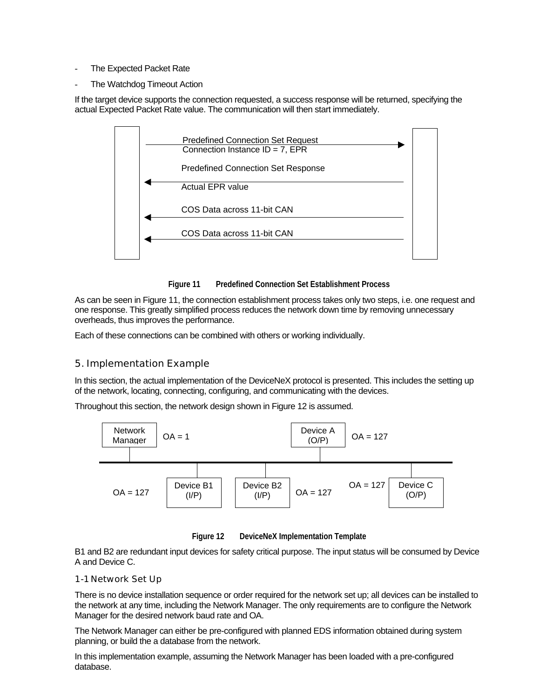- The Expected Packet Rate
- The Watchdog Timeout Action

If the target device supports the connection requested, a success response will be returned, specifying the actual Expected Packet Rate value. The communication will then start immediately.



**Figure 11 Predefined Connection Set Establishment Process**

As can be seen in Figure 11, the connection establishment process takes only two steps, i.e. one request and one response. This greatly simplified process reduces the network down time by removing unnecessary overheads, thus improves the performance.

Each of these connections can be combined with others or working individually.

## 5. Implementation Example

In this section, the actual implementation of the DeviceNeX protocol is presented. This includes the setting up of the network, locating, connecting, configuring, and communicating with the devices.

Throughout this section, the network design shown in Figure 12 is assumed.



**Figure 12 DeviceNeX Implementation Template**

B1 and B2 are redundant input devices for safety critical purpose. The input status will be consumed by Device A and Device C.

#### 1-1 Network Set Up

There is no device installation sequence or order required for the network set up; all devices can be installed to the network at any time, including the Network Manager. The only requirements are to configure the Network Manager for the desired network baud rate and OA.

The Network Manager can either be pre-configured with planned EDS information obtained during system planning, or build the a database from the network.

In this implementation example, assuming the Network Manager has been loaded with a pre-configured database.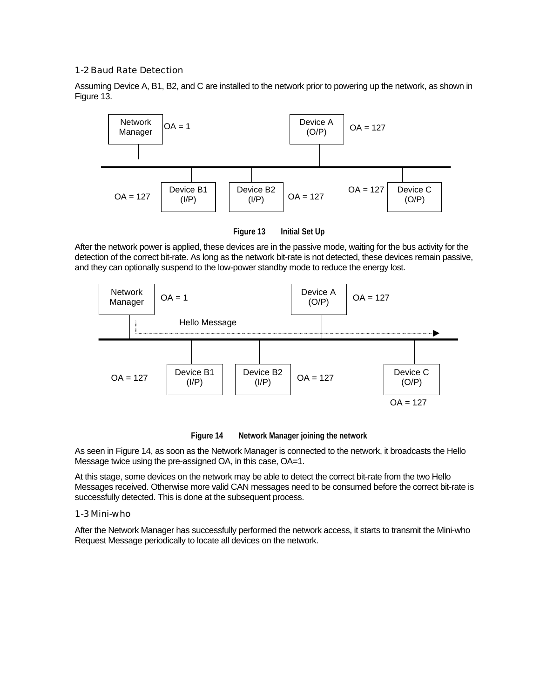#### 1-2Baud Rate Detection

Assuming Device A, B1, B2, and C are installed to the network prior to powering up the network, as shown in Figure 13.



**Figure 13 Initial Set Up**

After the network power is applied, these devices are in the passive mode, waiting for the bus activity for the detection of the correct bit-rate. As long as the network bit-rate is not detected, these devices remain passive, and they can optionally suspend to the low-power standby mode to reduce the energy lost.



**Figure 14 Network Manager joining the network**

As seen in Figure 14, as soon as the Network Manager is connected to the network, it broadcasts the Hello Message twice using the pre-assigned OA, in this case, OA=1.

At this stage, some devices on the network may be able to detect the correct bit-rate from the two Hello Messages received. Otherwise more valid CAN messages need to be consumed before the correct bit-rate is successfully detected. This is done at the subsequent process.

#### 1-3Mini-who

After the Network Manager has successfully performed the network access, it starts to transmit the Mini-who Request Message periodically to locate all devices on the network.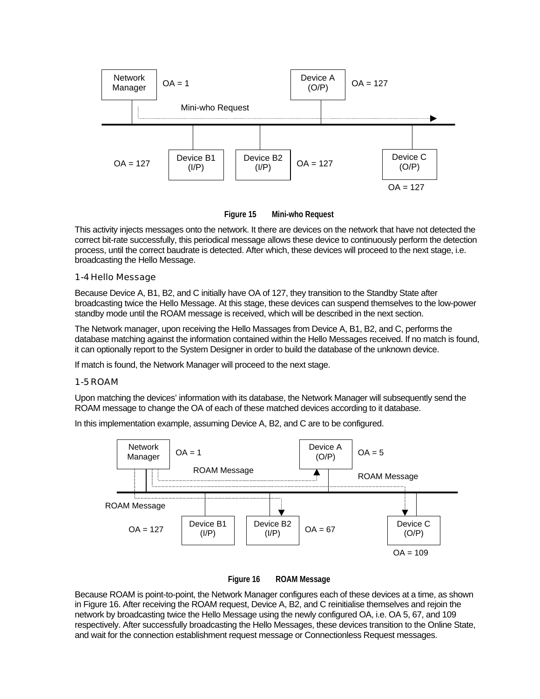

**Figure 15 Mini-who Request**

This activity injects messages onto the network. It there are devices on the network that have not detected the correct bit-rate successfully, this periodical message allows these device to continuously perform the detection process, until the correct baudrate is detected. After which, these devices will proceed to the next stage, i.e. broadcasting the Hello Message.

### 1-4 Hello Message

Because Device A, B1, B2, and C initially have OA of 127, they transition to the Standby State after broadcasting twice the Hello Message. At this stage, these devices can suspend themselves to the low-power standby mode until the ROAM message is received, which will be described in the next section.

The Network manager, upon receiving the Hello Massages from Device A, B1, B2, and C, performs the database matching against the information contained within the Hello Messages received. If no match is found, it can optionally report to the System Designer in order to build the database of the unknown device.

If match is found, the Network Manager will proceed to the next stage.

#### 1-5ROAM

Upon matching the devices' information with its database, the Network Manager will subsequently send the ROAM message to change the OA of each of these matched devices according to it database.

In this implementation example, assuming Device A, B2, and C are to be configured.





Because ROAM is point-to-point, the Network Manager configures each of these devices at a time, as shown in Figure 16. After receiving the ROAM request, Device A, B2, and C reinitialise themselves and rejoin the network by broadcasting twice the Hello Message using the newly configured OA, i.e. OA 5, 67, and 109 respectively. After successfully broadcasting the Hello Messages, these devices transition to the Online State, and wait for the connection establishment request message or Connectionless Request messages.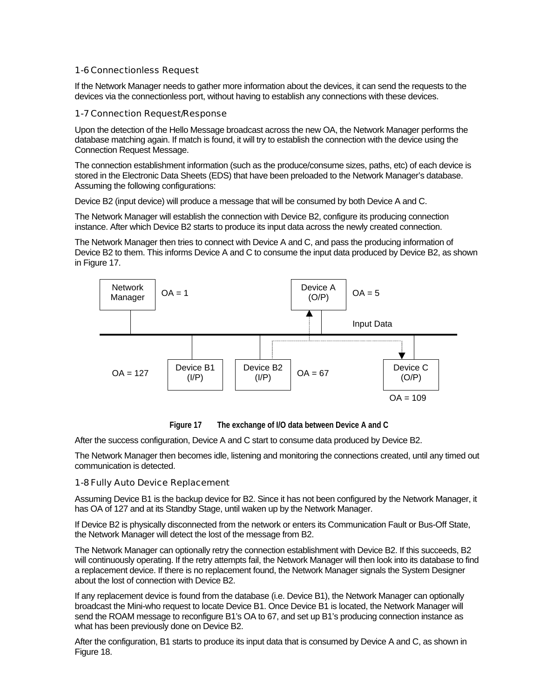### 1-6Connectionless Request

If the Network Manager needs to gather more information about the devices, it can send the requests to the devices via the connectionless port, without having to establish any connections with these devices.

#### 1-7Connection Request/Response

Upon the detection of the Hello Message broadcast across the new OA, the Network Manager performs the database matching again. If match is found, it will try to establish the connection with the device using the Connection Request Message.

The connection establishment information (such as the produce/consume sizes, paths, etc) of each device is stored in the Electronic Data Sheets (EDS) that have been preloaded to the Network Manager's database. Assuming the following configurations:

Device B2 (input device) will produce a message that will be consumed by both Device A and C.

The Network Manager will establish the connection with Device B2, configure its producing connection instance. After which Device B2 starts to produce its input data across the newly created connection.

The Network Manager then tries to connect with Device A and C, and pass the producing information of Device B2 to them. This informs Device A and C to consume the input data produced by Device B2, as shown in Figure 17.



**Figure 17 The exchange of I/O data between Device A and C**

After the success configuration, Device A and C start to consume data produced by Device B2.

The Network Manager then becomes idle, listening and monitoring the connections created, until any timed out communication is detected.

#### 1-8Fully Auto Device Replacement

Assuming Device B1 is the backup device for B2. Since it has not been configured by the Network Manager, it has OA of 127 and at its Standby Stage, until waken up by the Network Manager.

If Device B2 is physically disconnected from the network or enters its Communication Fault or Bus-Off State, the Network Manager will detect the lost of the message from B2.

The Network Manager can optionally retry the connection establishment with Device B2. If this succeeds, B2 will continuously operating. If the retry attempts fail, the Network Manager will then look into its database to find a replacement device. If there is no replacement found, the Network Manager signals the System Designer about the lost of connection with Device B2.

If any replacement device is found from the database (i.e. Device B1), the Network Manager can optionally broadcast the Mini-who request to locate Device B1. Once Device B1 is located, the Network Manager will send the ROAM message to reconfigure B1's OA to 67, and set up B1's producing connection instance as what has been previously done on Device B2.

After the configuration, B1 starts to produce its input data that is consumed by Device A and C, as shown in Figure 18.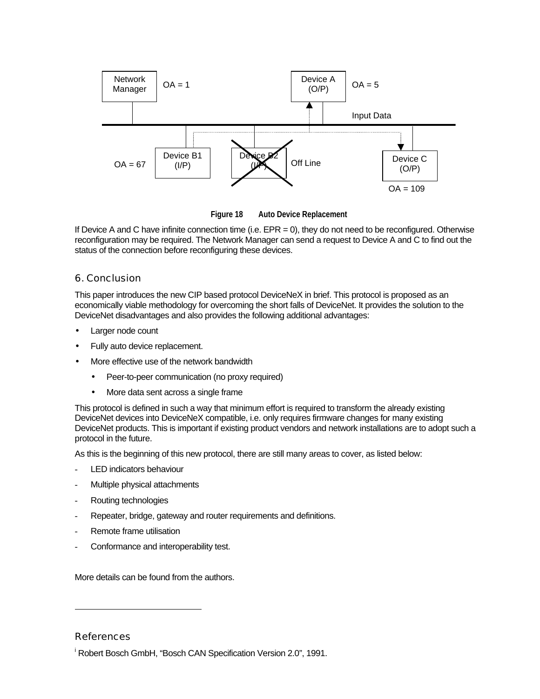

**Figure 18 Auto Device Replacement**

If Device A and C have infinite connection time (i.e.  $EPR = 0$ ), they do not need to be reconfigured. Otherwise reconfiguration may be required. The Network Manager can send a request to Device A and C to find out the status of the connection before reconfiguring these devices.

## 6. Conclusion

This paper introduces the new CIP based protocol DeviceNeX in brief. This protocol is proposed as an economically viable methodology for overcoming the short falls of DeviceNet. It provides the solution to the DeviceNet disadvantages and also provides the following additional advantages:

- Larger node count
- Fully auto device replacement.
- More effective use of the network bandwidth
	- Peer-to-peer communication (no proxy required)
	- More data sent across a single frame

This protocol is defined in such a way that minimum effort is required to transform the already existing DeviceNet devices into DeviceNeX compatible, i.e. only requires firmware changes for many existing DeviceNet products. This is important if existing product vendors and network installations are to adopt such a protocol in the future.

As this is the beginning of this new protocol, there are still many areas to cover, as listed below:

- LED indicators behaviour
- Multiple physical attachments
- Routing technologies
- Repeater, bridge, gateway and router requirements and definitions.
- Remote frame utilisation
- Conformance and interoperability test.

More details can be found from the authors.

## **References**

l

i Robert Bosch GmbH, "Bosch CAN Specification Version 2.0", 1991.